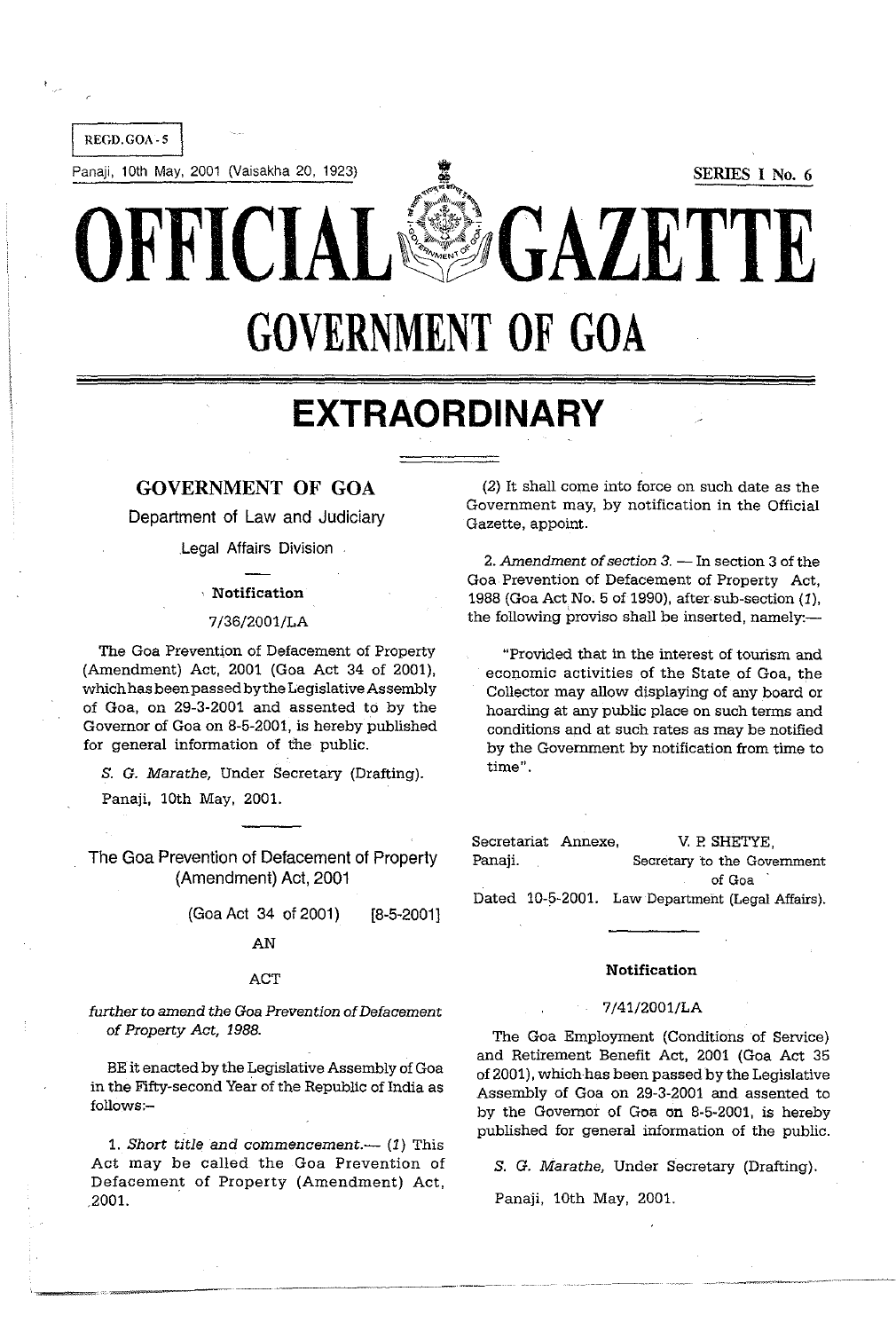

# **EXTRAORDINARY**

# GOVERNMENT OF GOA

Department of Law and Judiciary

Legal Affairs Division

#### . Notification

#### 7/36/2001/LA

The Goa Prevention of Defacement of Property (Amendment) Act, 2001 (Goa Act 34 of 2001), which has been passed by the Legislative Assembly of Goa, on 29·3·2001 and assented to by the Governor of Goa on 8·5·2001, is hereby published for general information of the public.

S. G. Marathe, Under Secretary (Drafting).

Panaji, 10th May, 2001.

The Goa Prevention of Defacement of Property (Amendment) Act, 2001

> (Goa Act 34 of 2001) AN [8-5-2001]

#### **ACT**

further to amend the Goa Prevention of Defacement of Property Act, 1988.

BE it enacted by the Legislative Assembly of Goa in the Fifty-second Year of the Republic of India as follows:-

1. Short title and commencement. $-$  (1) This Act may be called the Goa Prevention of Defacement of Property (Amendment) Act, .2001.

(2) It shall come into force on such date as the Government may, by notification in the Official Gazette, appoint.

2. Amendment of section  $3$ .  $-$  In section 3 of the Goa Prevention of Defacement of Property Act, 1988 (Goa Act No. 5 of 1990), after sub-section (1), the following proviso shall be inserted, namely:—

"Provided that in the interest of tourism and economic activities of the State of Goa, the Collector may allow displaying of any board or hoarding at any public place on such terms and conditions and at such rates as may be notified by the Government by notification from time to  $time$ .

Secretariat Annexe, Panaji. V. P. SHETYE, Secretary to the Govemment of Goa Dated 10-5-2001. Law Department (Legal Affairs).

### **Notification**

#### 7/41/2001/LA

The Goa Employment (Conditions of Service) and Retirement Benefit Act, 2001 (Goa Act 35 of 2001), which has been passed by the Legislative Assembly of Goa on 29-3-2001 and assented to by the Governor of Goa on 8-5-2001, is hereby published for general information of the public.

S. G. Marathe, Under Secretary (Drafting).

Panaji, 10th May, 2001.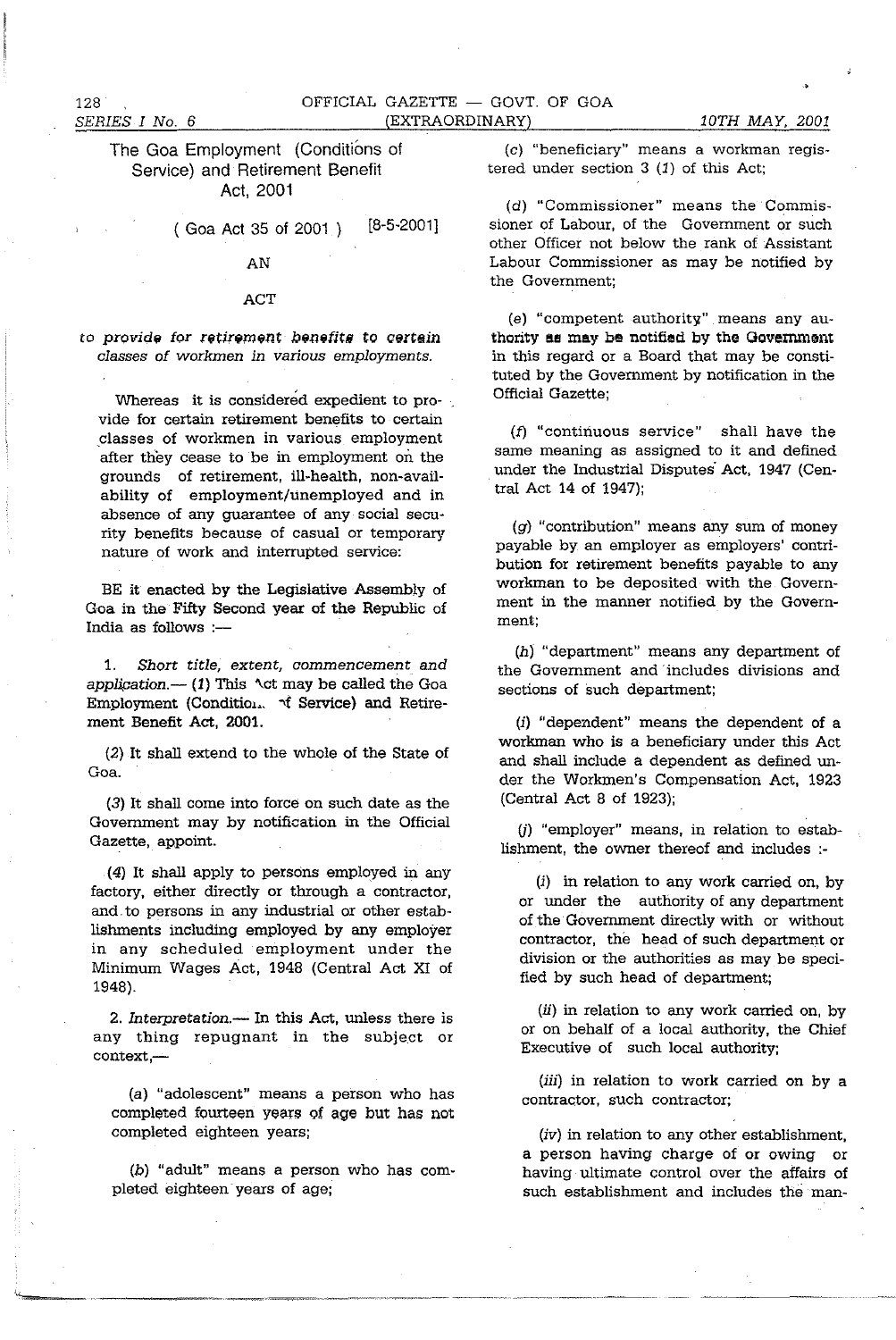128

## The Goa Employment (Conditions of Service) and Retirement Benefit Act, 2001

( Goa Act 35 of 2001 ) [8-5-2001J

## AN

### ACT

to provide for *retirement* benefits to certain *classes of workmen* in *various employments.* 

Whereas it is considered expedient to provide for certain retirement benefits to certain classes of workmen in various employment after they cease to be in employment on the grounds of retirement, ill-health, non-availability of employment/unemployed and in absence of any guarantee of any social security benefits because of casual or temporary nature of work and interrupted service:

BE it enacted by the Legislative Assembly of Goa in the Fifty Second year of the Republic of India as follows :-

1. *Short title, extent, commencement and applipation.-* (1) This *'\ct* may be called the Goa Employment (Condition.  $\forall$  Service) and Retirement Benefit *Act, 2001.* 

(2) It shall extend to the whole of the State of Goa.

(3) It shall come into force on such date as the Government may by notification in the Official Gazette, appoint.

(4) It shall apply to persons employed in any factory, either directly or through a contractor, and, to persons in any industrial or other establishments including employed by any employer in any scheduled employment under the Minimum Wages Act, 1948 (Central *Act* XI of 1948).

*2. Interpretation.-* In this *Act,* unless there is any thing repugnant in the subject or  $context, -$ 

(a) "adolescent" means a person who has completed fourteen years of age but has not completed eighteen years;

(b) "adult" means a person who has completed eighteen years of age;

(c) "beneficiary" means a workman registered under section 3 (1) of this Act;

(d) "Commissioner" means the Commissioner of Labour, of the Government or such other Officer not below the rank of Assistant Labour Commissioner as may be notified by the Government;

(e) "competent authority" means any authority as may be notified by the Government in this regard or a Board that may be constituted by the Government by notification in the Official Gazette;

(f) "continuous service" shall have the same meaning as assigned to it and defined . under the Industrial Disputes' Act, 1947 (Central Act 14 of 1947);

(g) "contribution" means any sum of money payable by an employer as employers' contribution for retirement benefits payable to any workman to be deposited with the Government in the manner notified by the Government;

 $(h)$  "department" means any department of the Government and 'includes divisions and sections of such department;

(i) "dependent" means the dependent of a workman who is a beneficiary under this Act and shall include a dependent as defined under the Workmen's Compensation Act, 1923 (Central Act 8 of 1923);

U) "employer" means, in relation to establishment, the owner thereof and includes :-

(i) in relation to any work carried on, by or under the authority of any department of the Government directly with or without contractor, the head of such department or division or the authorities as may be specified by such head of department;

 $(ii)$  in relation to any work carried on, by or on behalf of a local authority, the Chief Executive of such local authority;

*(iii)* in relation to work carried on by a contractor, such contractor;

*(iv)* in relation to any other establishment, a person having charge of or owing or having ultimate control over the affairs of such establishment and includes the man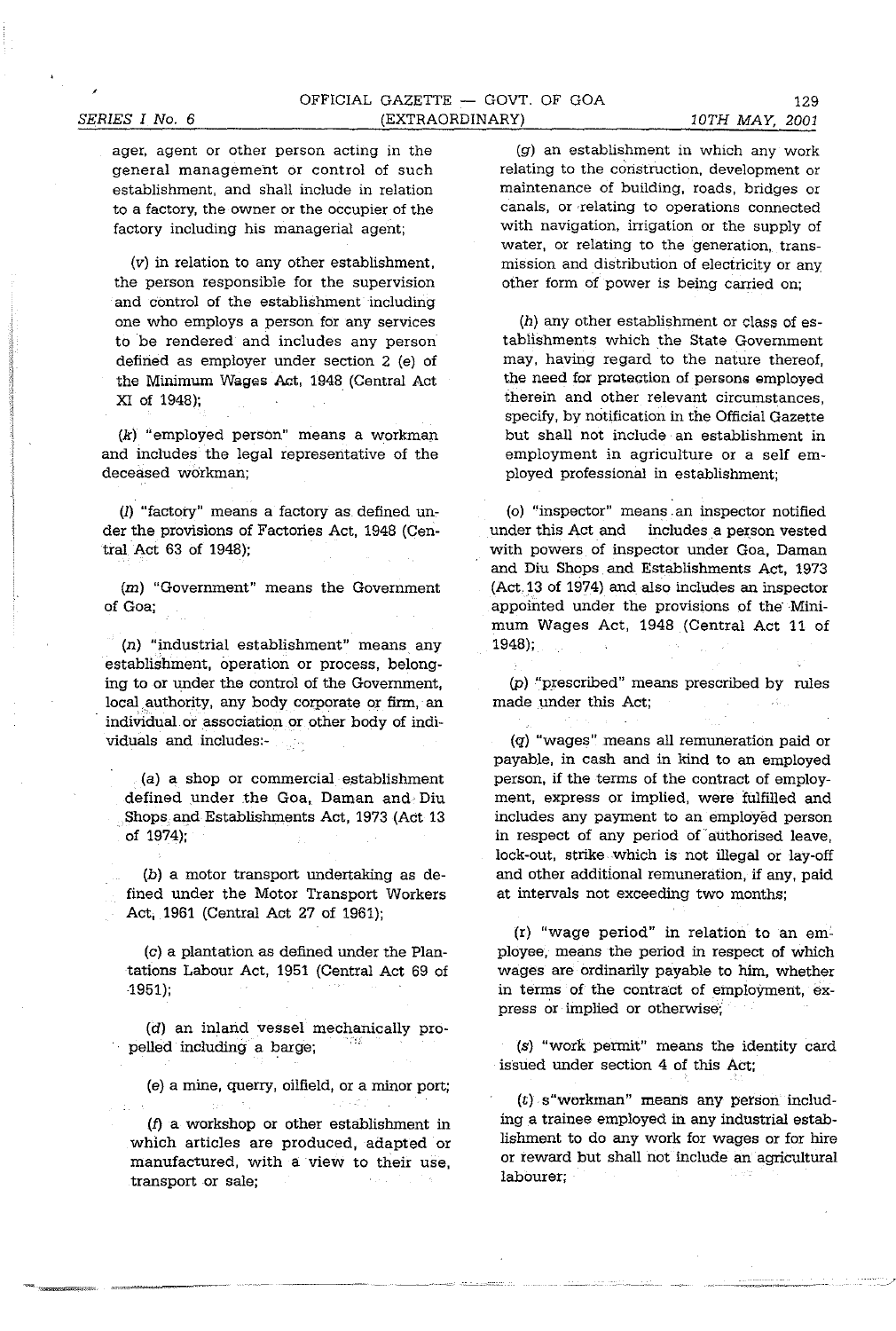ager, agent or other person acting in the general management or control of such establishment, and shall include in relation to a factory, the owner or the occupier of the factory including his managerial agent;

(v) in relation to any other establishment, the person responsible for the supervision and control of the establishment including one who employs a person for any services to be rendered and includes any person defined as employer under section 2 (e) of the Minimum Wages Act, 1948 (Central Act XI of 1948);

(k) "employed person" means a workman and includes the legal representative of the deceased workman;

(I) "factory" means a factory as defined under the provisions of Factories Act, 1948 (Central Act 63 of 1948);

(m) "Government" means the Government of Goa;

(n) "industrial establishment" means any establishment, operation or process, belonging to or under the control of the Government, local authority, any body corporate or firm, an individual or association or other body of individuals and includes:-

(a) a shop or commercial establishment defined under the Goa, Daman and Diu Shops and Establishments Act, 1973 (Act 13 of 1974);

(b) a motor transport undertaking as defined under the Motor Transport Workers Act, 1961 (Central Act 27 of 1961);

(c) a plantation as defined under the Plantations Labour Act, 1951 (Central Act 69 of 1951);

(d) an inland vessel mechanically propelled including a barge;

(e) a mine, querry, oilfield, or a minor port;

(f) a workshop or other establishment in which articles are produced, adapted or manufactured, with a view to their use, transport or sale;

(g) an establishment in which any work relating to the construction, development or maintenance of building, roads, bridges or canals, or relating to operations connected with navigation, irrigation or the supply of water, or relating to the generation, transmission and distribution of electricity or any other form of power is being carried on;

(h) any other establishment or class of establishments which the State Government may, having regard to the nature thereof, the need for protection of persons employed therein and other relevant circumstances, specify, by notification in the Official Gazette but shall not include an establishment in employment in agriculture or a self employed professional in establishment;

(0) "inspector" means an inspector notified under this Act and includes a person vested with powers of inspector under Goa, Daman and Diu Shops and Establishments Act, 1973 (Act, 13 of 1974) and also includes an inspector appointed under the provisions of the'Minimum Wages Act, 1948 (Central Act 11 of 1948);

(p) "prescribed" means prescribed by rules made under this Act;

(q) "wages" means all remuneration paid or payable, in cash and in kind to an employed person, if the terms of the contract of employment, express or implied, were fulfilled and includes any payment to an employed person in respect of any period of'authorised leave, lock-out, strike which is not illegal or lay-off and other additional remuneration, if any, paid at intervals not exceeding two months;

(r) "wage period" in relation to an employee, means the period in respect of which wages are ordinarily payable to him, whether in terms of the contract of employment, express or implied or otherwise;

(s) "work permit" means the identity card issued under section 4 of this Act;

(t) s"workman" means any person including a trainee employed in any industrial establishment to do any work for wages or for hire or reward but shall not include an agricultural labourer;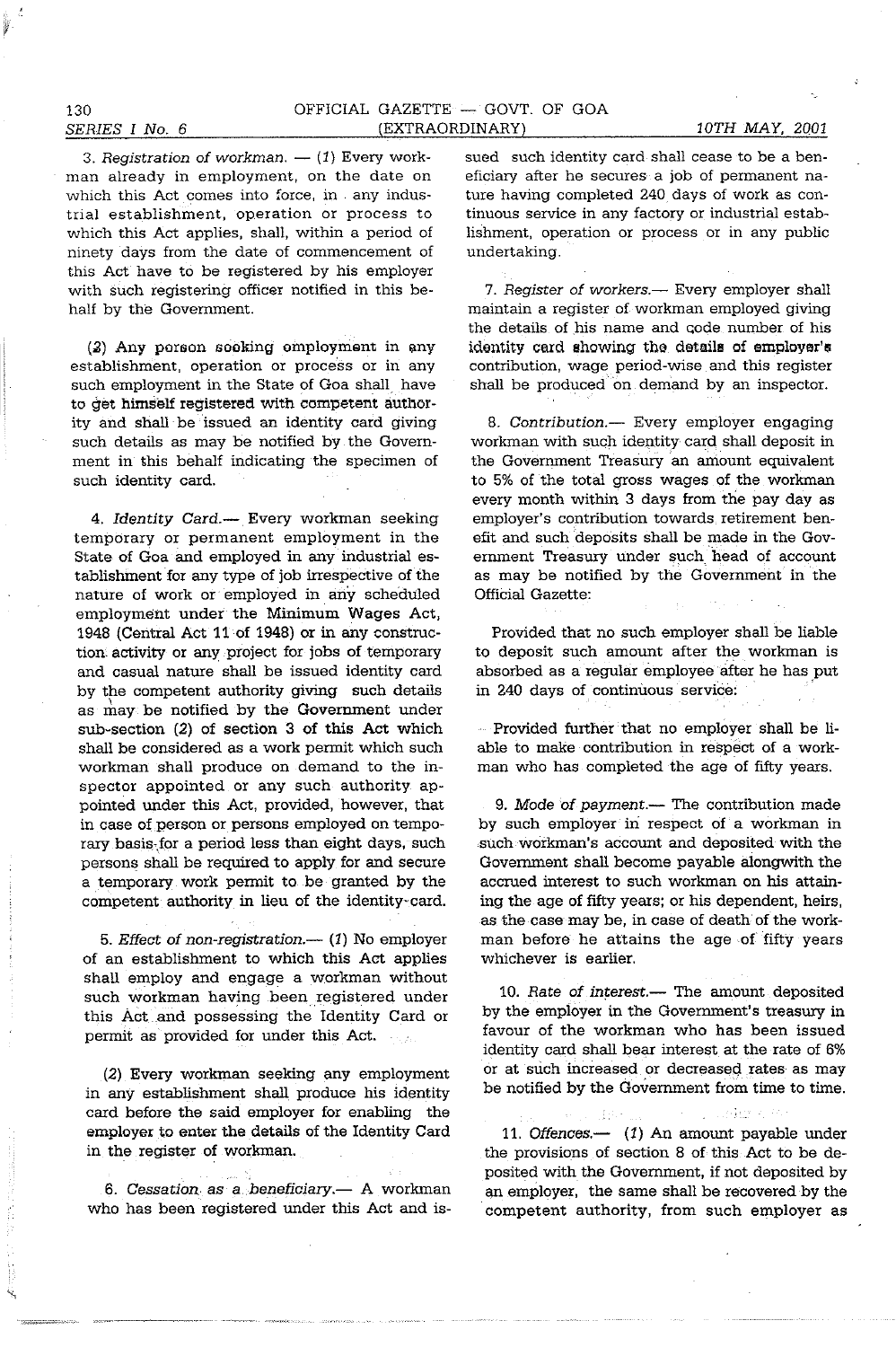trial establishment, operation or process to which this Act applies, shall. within a period of ninety days from the date of commencement of this Act have to be registered by his employer with such registering officer notified in this behalf by the Government.

 $(3)$  Any porson sooking omployment in any establishment, operation or process or in any such employment in the State of Goa shall have to get himself registered with competent authority and shall be issued an identity card giving such details as may be notified by the Government in this behalf indicating the specimen of such identity card.

4. Identity Card.-- Every workman seeking temporary or permanent employment in the State of Goa and employed in any industrial establishment for any type of job irrespective of the nature of work or employed in any scheduled employment under the Minimum Wages Act, 1948 (Central Act 11 of 1948) or in any construction activity or any project for jobs of temporary and casual nature shall be issued identity card by the competent authority giving such details as may be notified by the Government under sub-section (2) of section 3 of this Act which shall be considered as a work pennit which such workman shall produce on demand to the inspector appointed or any such authority appointed under this Act, provided. however. that in case of person or persons employed on temporary basis-for a period less than eight days, such persons shall be required to apply for and secure a temporary work permit to be granted by the competent authority in lieu of the identity-card.

5. *Effect of non-registration.*— (1) No employer of an establishment to which this Act applies shall employ and engage a workman without such workman having been registered under this Act and possessing the Identity Card or permit as provided for under this Act.

(2) Every workman seeking any employment in any establishment shall. produce his identity card before the said employer for enabling the employer to enter the details of the Identity Card in the register of workman.

6. Cessation as a beneficiary.- A workman who has been registered under this Act and issued such identity card shall cease to be a beneficiary after he secures a job of permanent nature having completed 240 days of work as continuous service in any factory or industrial establishment, operation or process or in any public undertaking.

7. Register of *workers.*— Every employer shall maintain a register of workman employed giving the details of his name and code number of his idontity card showing the details of employer's contribution, wage period-wise and this register shall be produced on demand by an inspector.

*8. Contribution.-* Every employer engaging workman with such identity card shall deposit in the Government Treasury an amount equivalent to 5% of the total gross wages of the workman every month within 3 days from the pay day as employer's contribution towards retirement benefit and such deposits shall be made in the Government Treasury under such head of account as may be notified by the Government in the Official Gazette:

Provided that no such employer shall be liable to deposit such amount after the workman is absorbed as a regular employee after he has put in 240 days of continuous service:

Provided further that no employer shall be liable to make contribution in respect of a workman who has completed the age of fifty years.

*9. Mode* of *payment.-* The contribution made by such employer in respect of a workman in such workman's account and deposited with the Government shall become payable alongwith the accrued interest to such workman on his attaining the age of fifty years; or his dependent. heirs, as the case may be, in case of death of the workman before he attains the age of fifty years whichever is earlier.

*10. Rate* of *interest.-* The amount deposited by the employer in the Government's treasury in favour of the workman who has been issued identity card shall bear interest at the rate of 6% or at such increased or decreased rates as may be notified by the Government from time to time.

 $\mathbb{R}^n$  . Figure  $\mathbb{R}^n$ (数据) 11. Offences.-- (1) An amount payable under the provisions of section 8 of this Act to be deposited with the Government. if not deposited by an employer. the same shall be recovered by the competent authority, from such employer as